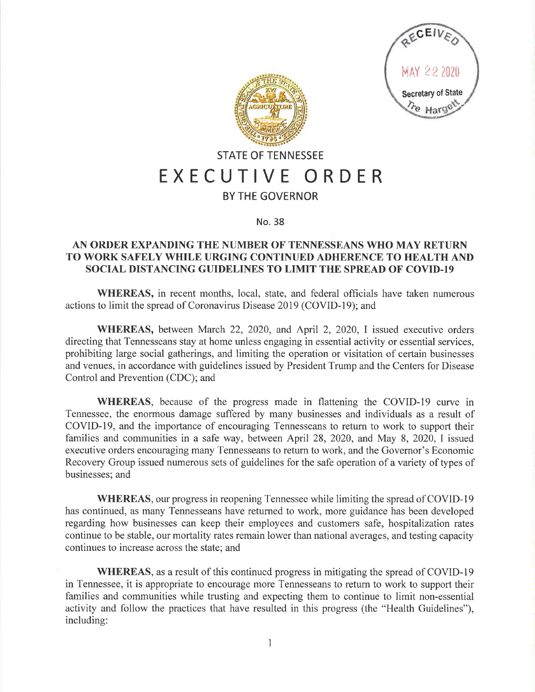



## **STATE OF TENNESSEE EXECUTIVE ORDER**

## **BY THE GOVERNOR**

## No. 38

## **AN ORDER EXPANDING THE NUMBER OF TENNESSEANS WHO MAY RETURN TO WORK SAFELY WHILE URGING CONTINUED ADHERENCE TO HEALTH AND SOCIAL DISTANCING GUIDELINES TO LIMIT THE SPREAD OF COVID-19**

**WHEREAS,** in recent months, local, state, and federal officials have taken numerous actions to limit the spread of Coronavirus Disease 2019 (COVID-19); and

**WHEREAS,** between March 22, 2020, and April 2, 2020, I issued executive orders directing that Tennesseans stay at home unless engaging in essential activity or essential services, prohibiting large social gatherings, and limiting the operation or visitation of certain businesses and venues, in accordance with guidelines issued by President Trump and the Centers for Disease Control and Prevention (CDC); and

**WHEREAS,** because of the progress made in flattening the COVID-19 curve in Tennessee, the enormous damage suffered by many businesses and individuals as a result of COVID-19, and the importance of encouraging Tennesseans to return to work to support their families and communities in a safe way, between April 28, 2020, and May 8, 2020, I issued executive orders encouraging many Tennesseans to return to work, and the Governor's Economic Recovery Group issued numerous sets of guidelines for the safe operation of a variety of types of businesses; and

**WHEREAS, our progress in reopening Tennessee while limiting the spread of COVID-19** has continued, as many Tennesseans have returned to work, more guidance has been developed regarding how businesses can keep their employees and customers safe, hospitalization rates continue to be stable, our mortality rates remain lower than national averages, and testing capacity continues to increase across the state; and

**WHEREAS,** as a result of this continued progress in mitigating the spread of COVID-19 in Tennessee, it is appropriate to encourage more Tennesseans to return to work to support their families and communities while trusting and expecting them to continue to limit non-essential activity and follow the practices that have resulted in this progress (the "Health Guidelines"), including: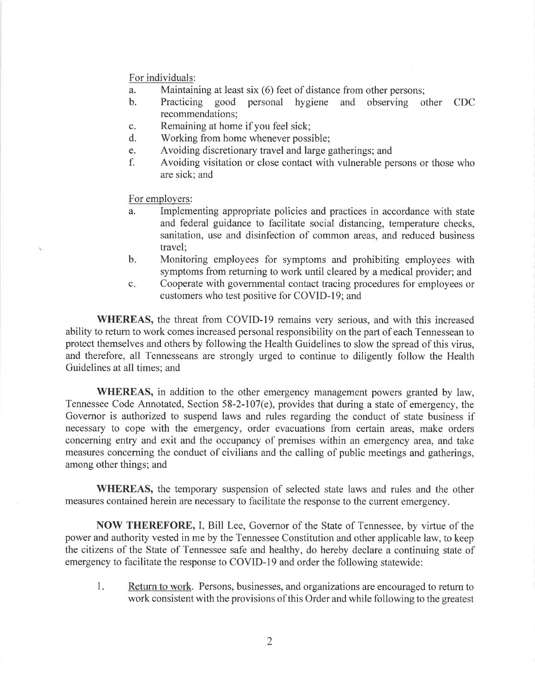For individuals:

- a. Maintaining at least six (6) feet of distance from other persons;<br>b. Practicing good personal hygiene and observing of
- b. Practicing good personal hygiene and observing other CDC recommendations;
- c. Remaining at home if you feel sick;
- d. Working from home whenever possible;
- e. A voiding discretionary travel and large gatherings; and
- f. A voiding visitation or close contact with vulnerable persons or those who are sick; and

For employers:

- a. Implementing appropriate policies and practices in accordance with state and federal guidance to facilitate social distancing, temperature checks, sanitation, use and disinfection of common areas, and reduced business travel;
- b. Monitoring employees for symptoms and prohibiting employees with symptoms from returning to work until cleared by a medical provider; and
- c. Cooperate with governmental contact tracing procedures for employees or customers who test positive for COVID-19; and

**WHEREAS,** the threat from COVID-19 remains very serious, and with this increased ability to return to work comes increased personal responsibility on the part of each Tennessean to protect themselves and others by following the Health Guidelines to slow the spread of this virus, and therefore, all Tennesseans are strongly urged to continue to diligently follow the Health Guidelines at all times; and

**WHEREAS,** in addition to the other emergency management powers granted by law, Tennessee Code Annotated, Section 58-2-107(e), provides that during a state of emergency, the Governor is authorized to suspend laws and rules regarding the conduct of state business if necessary to cope with the emergency, order evacuations from certain areas, make orders concerning entry and exit and the occupancy of premises within an emergency area, and take measures concerning the conduct of civilians and the calling of public meetings and gatherings, among other things; and

**WHEREAS,** the temporary suspension of selected state laws and rules and the other measures contained herein are necessary to facilitate the response to the current emergency.

**NOW THEREFORE,** I, Bill Lee, Governor of the State of Tennessee, by virtue of the power and authority vested in me by the Tennessee Constitution and other applicable law, to keep the citizens of the State of Tennessee safe and healthy, do hereby declare a continuing state of emergency to facilitate the response to COVID-19 and order the following statewide:

1. Return to work. Persons, businesses, and organizations are encouraged to return to work consistent with the provisions of this Order and while following to the greatest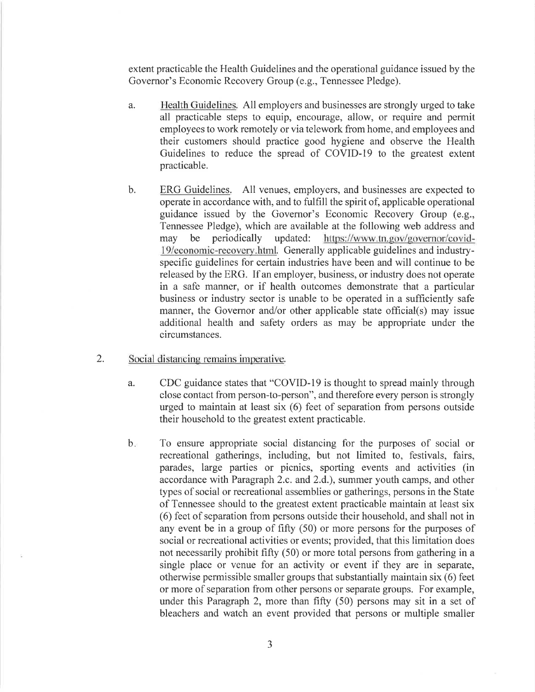extent practicable the Health Guidelines and the operational guidance issued by the Governor's Economic Recovery Group (e.g., Tennessee Pledge).

- a. Health Guidelines. All employers and businesses are strongly urged to take all practicable steps to equip, encourage, allow, or require and permit employees to work remotely or via telework from home, and employees and their customers should practice good hygiene and observe the Health Guidelines to reduce the spread of COVID-19 to the greatest extent practicable.
- b. ERG Guidelines. All venues, employers, and businesses are expected to operate in accordance with, and to fulfill the spirit of, applicable operational guidance issued by the Governor's Economic Recovery Group (e.g., Tennessee Pledge), which are available at the following web address and may be periodically updated: https://www.tn.gov/governor/covid-19/economic-recovery.htmJ. Generally applicable guidelines and industryspecific guidelines for certain industries have been and will continue to be released by the ERG. If an employer, business, or industry does not operate in a safe manner, or if health outcomes demonstrate that a particular business or industry sector is unable to be operated in a sufficiently safe manner, the Governor and/or other applicable state official(s) may issue additional health and safety orders as may be appropriate under the circumstances.
- 2. Social distancing remains imperative.
	- a. CDC guidance states that "COVID-19 is thought to spread mainly through close contact from person-to-person", and therefore every person is strongly urged to maintain at least six (6) feet of separation from persons outside their household to the greatest extent practicable.
	- b. To ensure appropriate social distancing for the purposes of social or recreational gatherings, including, but not limited to, festivals, fairs, parades, large parties or picnics, sporting events and activities (in accordance with Paragraph 2.c. and 2.d.), summer youth camps, and other types of social or recreational assemblies or gatherings, persons in the State of Tennessee should to the greatest extent practicable maintain at least six ( 6) feet of separation from persons outside their household, and shall not in any event be in a group of fifty (50) or more persons for the purposes of social or recreational activities or events; provided, that this limitation does not necessarily prohibit fifty (50) or more total persons from gathering in a single place or venue for an activity or event if they are in separate, otherwise permissible smaller groups that substantially maintain six ( 6) feet or more of separation from other persons or separate groups. For example, under this Paragraph 2, more than fifty (50) persons may sit in a set of bleachers and watch an event provided that persons or multiple smaller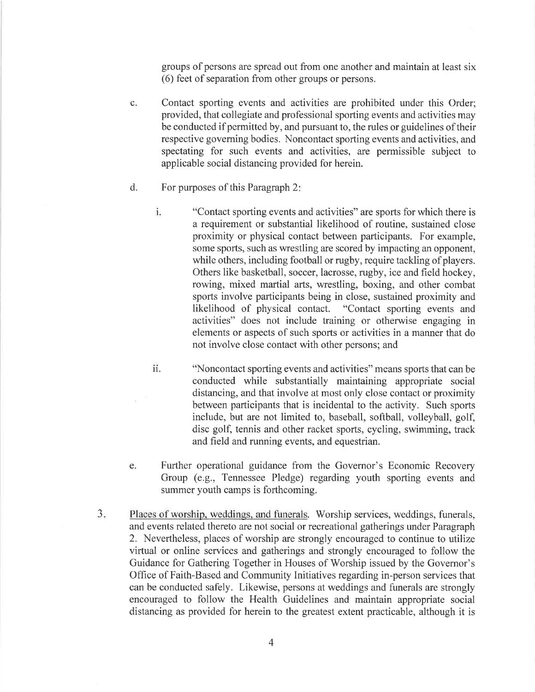groups of persons are spread out from one another and maintain at least six ( 6) feet of separation from other groups or persons.

- c. Contact sporting events and activities are prohibited under this Order; provided, that collegiate and professional sporting events and activities may be conducted if permitted by, and pursuant to, the rules or guidelines of their respective governing bodies. Noncontact sporting events and activities, and spectating for such events and activities, are permissible subject to applicable social distancing provided for herein.
- d. For purposes of this Paragraph 2:
	- 1. "Contact sporting events and activities" are sports for which there is a requirement or substantial likelihood of routine, sustained close proximity or physical contact between participants. For example, some sports, such as wrestling are scored by impacting an opponent, while others, including football or rugby, require tackling of players. Others like basketball, soccer, lacrosse, rugby, ice and field hockey, rowing, mixed martial arts, wrestling, boxing, and other combat sports involve participants being in close, sustained proximity and likelihood of physical contact. "Contact sporting events and activities" does not include training or otherwise engaging in elements or aspects of such sports or activities in a manner that do not involve close contact with other persons; and
	- 11. "Noncontact sporting events and activities" means sports that can be conducted while substantially maintaining appropriate social distancing, and that involve at most only close contact or proximity between participants that is incidental to the activity. Such sports include, but are not limited to, baseball, softball, volleyball, golf, disc golf, tennis and other racket sports, cycling, swimming, track and field and running events, and equestrian.
- e. Further operational guidance from the Governor's Economic Recovery Group (e.g., Tennessee Pledge) regarding youth sporting events and summer youth camps is forthcoming.
- 3. Places of worship. weddings, and funerals. Worship services, weddings, funerals, and events related thereto are not social or recreational gatherings under Paragraph 2. Nevertheless, places of worship are strongly encouraged to continue to utilize virtual or online services and gatherings and strongly encouraged to follow the Guidance for Gathering Together in Houses of Worship issued by the Governor's Office of Faith-Based and Community Initiatives regarding in-person services that can be conducted safely. Likewise, persons at weddings and funerals are strongly encouraged to follow the Health Guidelines and maintain appropriate social distancing as provided for herein to the greatest extent practicable, although it is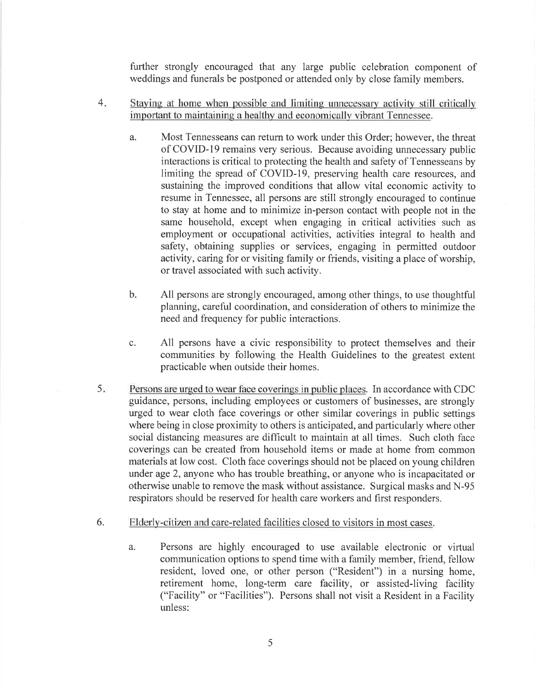further strongly encouraged that any large public celebration component of weddings and funerals be postponed or attended only by close family members.

- 4. Staying at home when possible and limiting unnecessary activity still critically important to maintaining a healthy and economically vibrant Tennessee.
	- a. Most Tennesseans can return to work under this Order; however, the threat of COVID-19 remains very serious. Because avoiding unnecessary public interactions is critical to protecting the health and safety of Tennesseans by limiting the spread of COVID-19, preserving health care resources, and sustaining the improved conditions that allow vital economic activity to resume in Tennessee, all persons are still strongly encouraged to continue to stay at home and to minimize in-person contact with people not in the same household, except when engaging in critical activities such as employment or occupational activities, activities integral to health and safety, obtaining supplies or services, engaging in permitted outdoor activity, caring for or visiting family or friends, visiting a place of worship, or travel associated with such activity.
	- b. All persons are strongly encouraged, among other things, to use thoughtful planning, careful coordination, and consideration of others to minimize the need and frequency for public interactions.
	- c. All persons have a civic responsibility to protect themselves and their communities by following the Health Guidelines to the greatest extent practicable when outside their homes.
- 5. Persons are urged to wear face coverings in public places. In accordance with CDC guidance, persons, including employees or customers of businesses, are strongly urged to wear cloth face coverings or other similar coverings in public settings where being in close proximity to others is anticipated, and particularly where other social distancing measures are difficult to maintain at all times. Such cloth face coverings can be created from household items or made at home from common materials at low cost. Cloth face coverings should not be placed on young children under age 2, anyone who has trouble breathing, or anyone who is incapacitated or otherwise unable to remove the mask without assistance. Surgical masks and N-95 respirators should be reserved for health care workers and first responders.
- 6. Elderly-citizen and care-related facilities closed to visitors in most cases.
	- a. Persons are highly encouraged to use available electronic or virtual communication options to spend time with a family member, friend, fellow resident, loved one, or other person ("Resident") in a nursing home, retirement home, long-term care facility, or assisted-living facility ("Facility" or "Facilities"). Persons shall not visit a Resident in a Facility unless: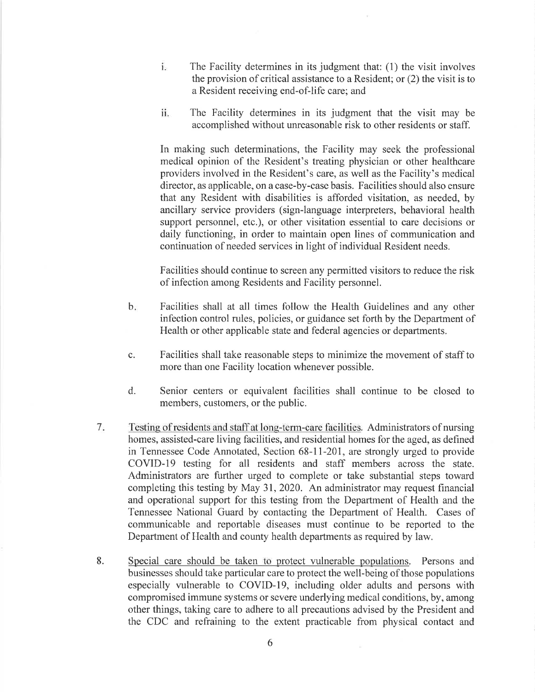- 1. The Facility determines in its judgment that: (1) the visit involves the provision of critical assistance to a Resident; or (2) the visit is to a Resident receiving end-of-life care; and
- 11. The Facility determines in its judgment that the visit may be accomplished without unreasonable risk to other residents or staff.

In making such determinations, the Facility may seek the professional medical opinion of the Resident's treating physician or other healthcare providers involved in the Resident's care, as well as the Facility's medical director, as applicable, on a case-by-case basis. Facilities should also ensure that any Resident with disabilities is afforded visitation, as needed, by ancillary service providers (sign-language interpreters, behavioral health support personnel, etc.), or other visitation essential to care decisions or daily functioning, in order to maintain open lines of communication and continuation of needed services in light of individual Resident needs.

Facilities should continue to screen any permitted visitors to reduce the risk of infection among Residents and Facility personnel.

- b. Facilities shall at all times follow the Health Guidelines and any other infection control rules, policies, or guidance set forth by the Department of Health or other applicable state and federal agencies or departments.
- c. Facilities shall take reasonable steps to minimize the movement of staff to more than one Facility location whenever possible.
- d. Senior centers or equivalent facilities shall continue to be closed to members, customers, or the public.
- 7. Testing of residents and staff at long-term-care facilities. Administrators of nursing homes, assisted-care living facilities, and residential homes for the aged, as defined in Tennessee Code Annotated, Section 68-11-201, are strongly urged to provide COVID-19 testing for all residents and staff members across the state. Administrators are further urged to complete or take substantial steps toward completing this testing by May 31, 2020. An administrator may request financial and operational support for this testing from the Department of Health and the Tennessee National Guard by contacting the Department of Health. Cases of communicable and reportable diseases must continue to be reported to the Department of Health and county health departments as required by law.
- 8. Special care should be taken to protect vulnerable populations. Persons and businesses should take particular care to protect the well-being of those populations especially vulnerable to COVID-19, including older adults and persons with compromised immune systems or severe underlying medical conditions, by, among other things, taking care to adhere to all precautions advised by the President and the CDC and refraining to the extent practicable from physical contact and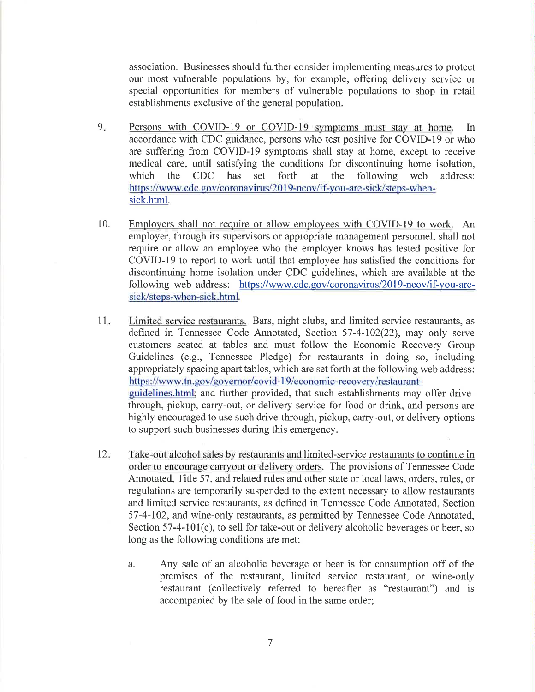association. Businesses should further consider implementing measures to protect our most vulnerable populations by, for example, offering delivery service or special opportunities for members of vulnerable populations to shop in retail establishments exclusive of the general population.

- 9. Persons with COVID-19 or COVID-19 symptoms must stay at home. In accordance with CDC guidance, persons who test positive for COVID-19 or who are suffering from COVID-19 symptoms shall stay at home, except to receive medical care, until satisfying the conditions for discontinuing home isolation, which the CDC has set forth at the following web address: https://www.cdc.gov/coronavirus/2019-ncov/if-you-are-sick/steps-whensick.html.
- 10. Employers shall not require or allow employees with COVID-19 to work. An employer, through its supervisors or appropriate management personnel, shall not require or allow an employee who the employer knows has tested positive for COVID-19 to report to work until that employee has satisfied the conditions for discontinuing home isolation under CDC guidelines, which are available at the following web address: https://www.cdc.gov/coronavirus/2019-ncov/if-you-aresick/steps-when-sick.html.
- 11. Limited service restaurants. Bars, night clubs, and limited service restaurants, as defined in Tennessee Code Annotated, Section 57-4-102(22), may only serve customers seated at tables and must follow the Economic Recovery Group Guidelines (e.g., Tennessee Pledge) for restaurants in doing so, including appropriately spacing apart tables, which are set forth at the following web address: https://www.tn.gov/governor/covid-19/economic-recovery/restaurantguidelines.html; and further provided, that such establishments may offer drivethrough, pickup, carry-out, or delivery service for food or drink, and persons are highly encouraged to use such drive-through, pickup, carry-out, or delivery options to support such businesses during this emergency.
- 12. Take-out alcohol sales by restaurants and limited-service restaurants to continue in order to encourage carryout or delivery orders. The provisions of Tennessee Code Annotated, Title 57, and related rules and other state or local laws, orders, rules, or regulations are temporarily suspended to the extent necessary to allow restaurants and limited service restaurants, as defined in Tennessee Code Annotated, Section 57-4-102, and wine-only restaurants, as permitted by Tennessee Code Annotated, Section 57-4-101(c), to sell for take-out or delivery alcoholic beverages or beer, so long as the following conditions are met:
	- a. Any sale of an alcoholic beverage or beer is for consumption off of the premises of the restaurant, limited service restaurant, or wine-only restaurant (collectively referred to hereafter as "restaurant") and is accompanied by the sale of food in the same order;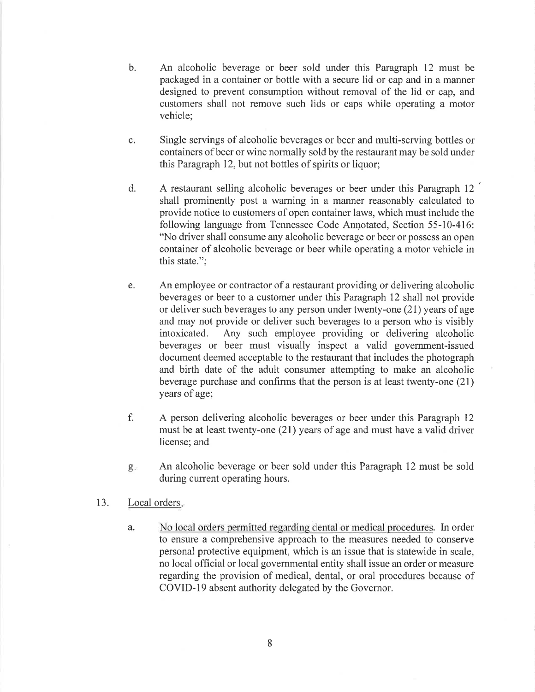- b. An alcoholic beverage or beer sold under this Paragraph 12 must be packaged in a container or bottle with a secure lid or cap and in a manner designed to prevent consumption without removal of the lid or cap, and customers shall not remove such lids or caps while operating a motor vehicle;
- c. Single servings of alcoholic beverages or beer and multi-serving bottles or containers of beer or wine normally sold by the restaurant may be sold under this Paragraph 12, but not bottles of spirits or liquor;
- d. A restaurant selling alcoholic beverages or beer under this Paragraph 12 ' shall prominently post a warning in a manner reasonably calculated to provide notice to customers of open container laws, which must include the following language from Tennessee Code Annotated, Section 55-10-416: "No driver shall consume any alcoholic beverage or beer or possess an open container of alcoholic beverage or beer while operating a motor vehicle in this state.";
- e. An employee or contractor of a restaurant providing or delivering alcoholic beverages or beer to a customer under this Paragraph 12 shall not provide or deliver such beverages to any person under twenty-one (21) years of age and may not provide or deliver such beverages to a person who is visibly intoxicated. Any such employee providing or delivering alcoholic beverages or beer must visually inspect a valid government-issued document deemed acceptable to the restaurant that includes the photograph and birth date of the adult consumer attempting to make an alcoholic beverage purchase and confirms that the person is at least twenty-one (21) years of age;
- f. A person delivering alcoholic beverages or beer under this Paragraph 12 must be at least twenty-one (21) years of age and must have a valid driver license; and
- g. An alcoholic beverage or beer sold under this Paragraph 12 must be sold during current operating hours.
- 13. Local orders.
	- a. No local orders permitted regarding dental or medical procedures. In order to ensure a comprehensive approach to the measures needed to conserve personal protective equipment, which is an issue that is statewide in scale, no local official or local governmental entity shall issue an order or measure regarding the provision of medical, dental, or oral procedures because of COVID-19 absent authority delegated by the Governor.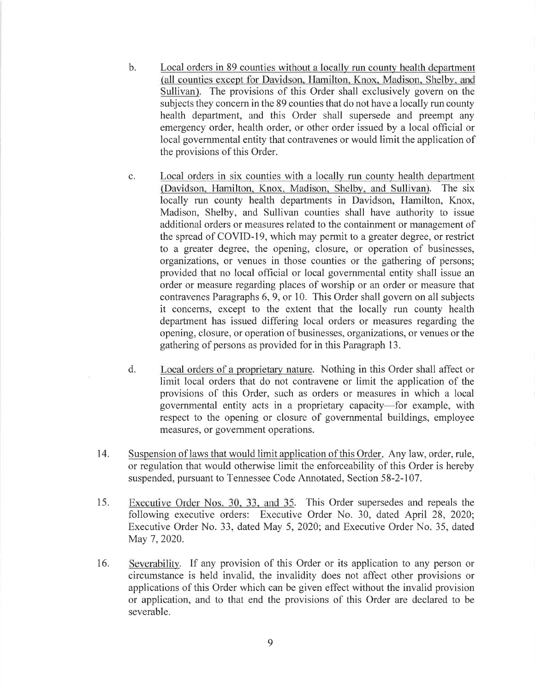- b. Local orders in 89 counties without a locally run county health department (all counties except for Davidson, Hamilton, Knox, Madison, Shelby, and Sullivan). The provisions of this Order shall exclusively govern on the subjects they concern in the 89 counties that do not have a locally run county health department, and this Order shall supersede and preempt any emergency order, health order, or other order issued by a local official or local governmental entity that contravenes or would limit the application of the provisions of this Order.
- c. Local orders in six counties with a locally run county health department (Davidson, Hamilton, Knox, Madison, Shelby, and Sullivan). The six locally run county health departments in Davidson, Hamilton, Knox, Madison, Shelby, and Sullivan counties shall have authority to issue additional orders or measures related to the containment or management of the spread of COVID-19, which may permit to a greater degree, or restrict to a greater degree, the opening, closure, or operation of businesses, organizations, or venues in those counties or the gathering of persons; provided that no local official or local governmental entity shall issue an order or measure regarding places of worship or an order or measure that contravenes Paragraphs 6, 9, or 10. This Order shall govern on all subjects it concerns, except to the extent that the locally run county health department has issued differing local orders or measures regarding the opening, closure, or operation of businesses, organizations, or venues or the gathering of persons as provided for in this Paragraph 13.
- d. Local orders of a proprietary nature. Nothing in this Order shall affect or limit local orders that do not contravene or limit the application of the provisions of this Order, such as orders or measures in which a local governmental entity acts in a proprietary capacity-for example, with respect to the opening or closure of governmental buildings, employee measures, or government operations.
- 14. Suspension oflaws that would limit application of this Order. Any law, order, rule, or regulation that would otherwise limit the enforceability of this Order is hereby suspended, pursuant to Tennessee Code Annotated, Section 58-2-107.
- 15. Executive Order Nos. 30, 33, and 35. This Order supersedes and repeals the following executive orders: Executive Order No. 30, dated April 28, 2020; Executive Order No. 33, dated May 5, 2020; and Executive Order No. 35, dated May 7, 2020.
- 16. Severability. If any provision of this Order or its application to any person or circumstance is held invalid, the invalidity does not affect other provisions or applications of this Order which can be given effect without the invalid provision or application, and to that end the provisions of this Order are declared to be severable.